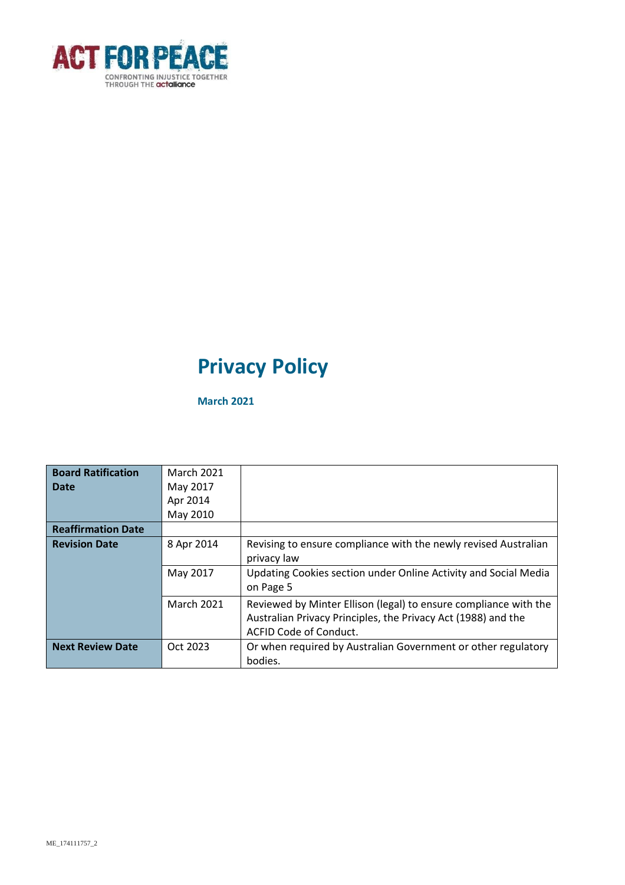

# **Privacy Policy**

**March 2021**

| <b>Board Ratification</b> | <b>March 2021</b> |                                                                  |
|---------------------------|-------------------|------------------------------------------------------------------|
| Date                      | May 2017          |                                                                  |
|                           | Apr 2014          |                                                                  |
|                           | May 2010          |                                                                  |
| <b>Reaffirmation Date</b> |                   |                                                                  |
| <b>Revision Date</b>      | 8 Apr 2014        | Revising to ensure compliance with the newly revised Australian  |
|                           |                   | privacy law                                                      |
|                           | May 2017          | Updating Cookies section under Online Activity and Social Media  |
|                           |                   | on Page 5                                                        |
|                           | <b>March 2021</b> | Reviewed by Minter Ellison (legal) to ensure compliance with the |
|                           |                   | Australian Privacy Principles, the Privacy Act (1988) and the    |
|                           |                   | ACFID Code of Conduct.                                           |
| <b>Next Review Date</b>   | Oct 2023          | Or when required by Australian Government or other regulatory    |
|                           |                   | bodies.                                                          |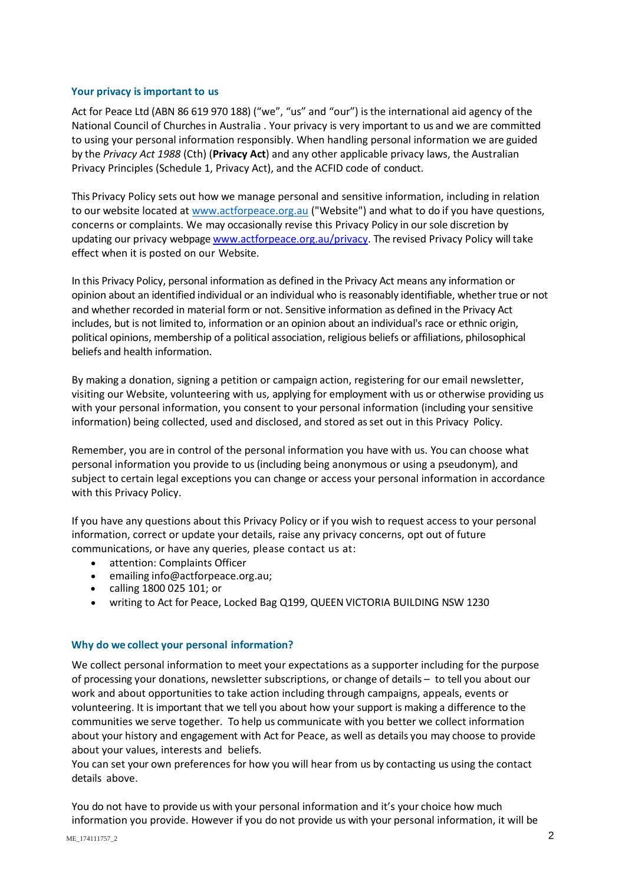#### **Your privacy is important to us**

Act for Peace Ltd (ABN 86 619 970 188) ("we", "us" and "our") is the international aid agency of the National Council of Churches in Australia . Your privacy is very important to us and we are committed to using your personal information responsibly. When handling personal information we are guided by the *Privacy Act 1988* (Cth) (**Privacy Act**) and any other applicable privacy laws, the Australian Privacy Principles (Schedule 1, Privacy Act), and the ACFID code of conduct.

This Privacy Policy sets out how we manage personal and sensitive information, including in relation to our website located a[t www.actforpeace.org.au](http://www.actforpeace.org.au/) ("Website") and what to do if you have questions, concerns or complaints. We may occasionally revise this Privacy Policy in our sole discretion by updating our privacy webpage [www.actforpeace.org.au/privacy.](http://www.actforpeace.org.au/privacy) The revised Privacy Policy will take effect when it is posted on our Website.

In this Privacy Policy, personal information as defined in the Privacy Act means any information or opinion about an identified individual or an individual who is reasonably identifiable, whether true or not and whether recorded in material form or not. Sensitive information as defined in the Privacy Act includes, but is not limited to, information or an opinion about an individual's race or ethnic origin, political opinions, membership of a political association, religious beliefs or affiliations, philosophical beliefs and health information.

By making a donation, signing a petition or campaign action, registering for our email newsletter, visiting our Website, volunteering with us, applying for employment with us or otherwise providing us with your personal information, you consent to your personal information (including your sensitive information) being collected, used and disclosed, and stored as set out in this Privacy Policy.

Remember, you are in control of the personal information you have with us. You can choose what personal information you provide to us (including being anonymous or using a pseudonym), and subject to certain legal exceptions you can change or access your personal information in accordance with this Privacy Policy.

If you have any questions about this Privacy Policy or if you wish to request access to your personal information, correct or update your details, raise any privacy concerns, opt out of future communications, or have any queries, please contact us at:

- attention: Complaints Officer
- emailing info@actforpeace.org.au:
- calling 1800 025 101; or
- writing to Act for Peace, Locked Bag Q199, QUEEN VICTORIA BUILDING NSW 1230

#### **Why do we collect your personal information?**

We collect personal information to meet your expectations as a supporter including for the purpose of processing your donations, newsletter subscriptions, or change of details – to tell you about our work and about opportunities to take action including through campaigns, appeals, events or volunteering. It is important that we tell you about how your support is making a difference to the communities we serve together. To help us communicate with you better we collect information about your history and engagement with Act for Peace, as well as details you may choose to provide about your values, interests and beliefs.

You can set your own preferences for how you will hear from us by contacting us using the contact details above.

You do not have to provide us with your personal information and it's your choice how much information you provide. However if you do not provide us with your personal information, it will be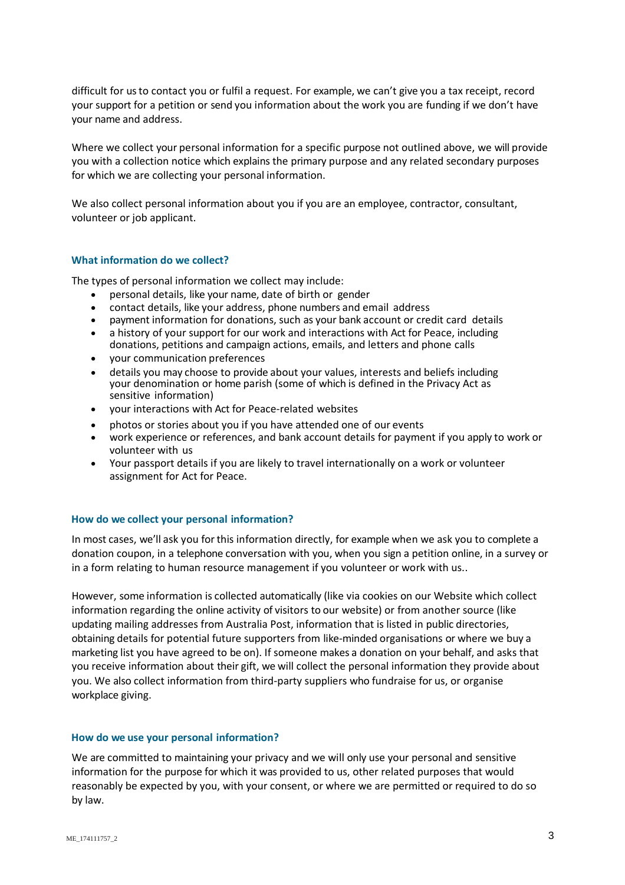difficult for us to contact you or fulfil a request. For example, we can't give you a tax receipt, record your support for a petition or send you information about the work you are funding if we don't have your name and address.

Where we collect your personal information for a specific purpose not outlined above, we will provide you with a collection notice which explains the primary purpose and any related secondary purposes for which we are collecting your personal information.

We also collect personal information about you if you are an employee, contractor, consultant, volunteer or job applicant.

## **What information do we collect?**

The types of personal information we collect may include:

- personal details, like your name, date of birth or gender
- contact details, like your address, phone numbers and email address
- payment information for donations, such as your bank account or credit card details
- a history of your support for our work and interactions with Act for Peace, including donations, petitions and campaign actions, emails, and letters and phone calls
- your communication preferences
- details you may choose to provide about your values, interests and beliefs including your denomination or home parish (some of which is defined in the Privacy Act as sensitive information)
- your interactions with Act for Peace-related websites
- photos or stories about you if you have attended one of our events
- work experience or references, and bank account details for payment if you apply to work or volunteer with us
- Your passport details if you are likely to travel internationally on a work or volunteer assignment for Act for Peace.

#### **How do we collect your personal information?**

In most cases, we'll ask you for this information directly, for example when we ask you to complete a donation coupon, in a telephone conversation with you, when you sign a petition online, in a survey or in a form relating to human resource management if you volunteer or work with us..

However, some information is collected automatically (like via cookies on our Website which collect information regarding the online activity of visitors to our website) or from another source (like updating mailing addresses from Australia Post, information that is listed in public directories, obtaining details for potential future supporters from like-minded organisations or where we buy a marketing list you have agreed to be on). If someone makes a donation on your behalf, and asks that you receive information about their gift, we will collect the personal information they provide about you. We also collect information from third-party suppliers who fundraise for us, or organise workplace giving.

#### **How do we use your personal information?**

We are committed to maintaining your privacy and we will only use your personal and sensitive information for the purpose for which it was provided to us, other related purposes that would reasonably be expected by you, with your consent, or where we are permitted or required to do so by law.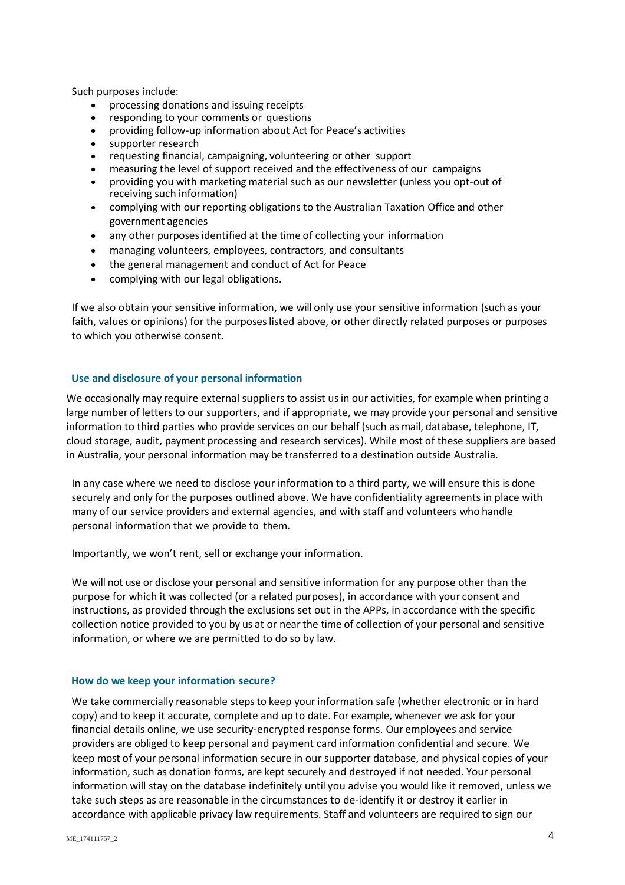Such purposes include:

- processing donations and issuing receipts
- responding to your comments or questions
- providing follow-up information about Act for Peace's activities
- supporter research
- requesting financial, campaigning, volunteering or other support
- measuring the level of support received and the effectiveness of our campaigns
- providing you with marketing material such as our newsletter (unless you opt-out of receiving such information)
- complying with our reporting obligations to the Australian Taxation Office and other government agencies
- any other purposes identified at the time of collecting your information
- managing volunteers, employees, contractors, and consultants
- the general management and conduct of Act for Peace
- complying with our legal obligations.

If we also obtain your sensitive information, we will only use your sensitive information (such as your faith, values or opinions) for the purposes listed above, or other directly related purposes or purposes to which you otherwise consent.

## **Use and disclosure of your personal information**

We occasionally may require external suppliers to assist us in our activities, for example when printing a large number of letters to our supporters, and if appropriate, we may provide your personal and sensitive information to third parties who provide services on our behalf (such as mail, database, telephone, IT, cloud storage, audit, payment processing and research services). While most of these suppliers are based in Australia, your personal information may be transferred to a destination outside Australia.

In any case where we need to disclose your information to a third party, we will ensure this is done securely and only for the purposes outlined above. We have confidentiality agreements in place with many of our service providers and external agencies, and with staff and volunteers who handle personal information that we provide to them.

Importantly, we won't rent, sell or exchange your information.

We will not use or disclose your personal and sensitive information for any purpose other than the purpose for which it was collected (or a related purposes), in accordance with your consent and instructions, as provided through the exclusions set out in the APPs, in accordance with the specific collection notice provided to you by us at or near the time of collection of your personal and sensitive information, or where we are permitted to do so by law.

#### **How do we keep your information secure?**

We take commercially reasonable steps to keep your information safe (whether electronic or in hard copy) and to keep it accurate, complete and up to date. For example, whenever we ask for your financial details online, we use security-encrypted response forms. Our employees and service providers are obliged to keep personal and payment card information confidential and secure. We keep most of your personal information secure in our supporter database, and physical copies of your information, such as donation forms, are kept securely and destroyed if not needed. Your personal information will stay on the database indefinitely until you advise you would like it removed, unless we take such steps as are reasonable in the circumstances to de-identify it or destroy it earlier in accordance with applicable privacy law requirements. Staff and volunteers are required to sign our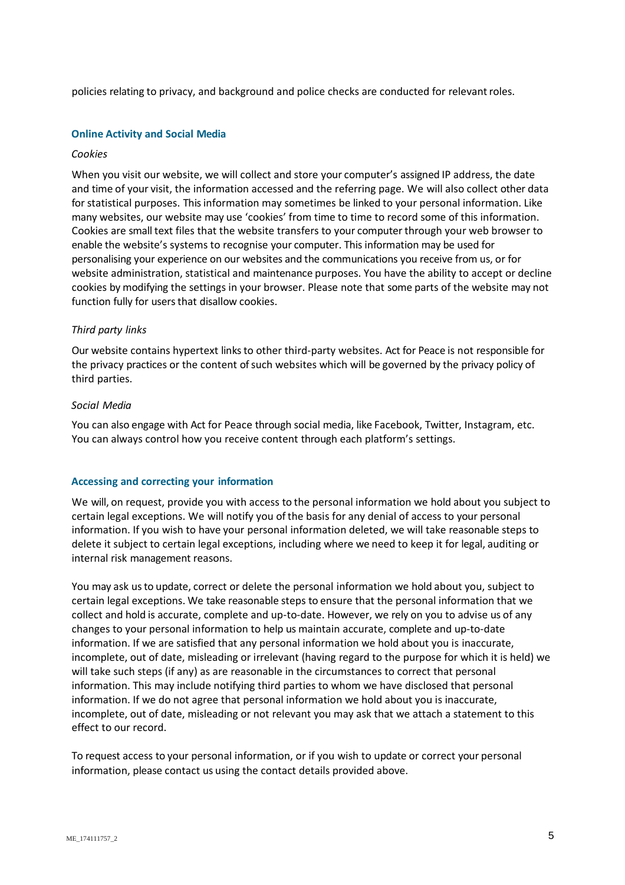policies relating to privacy, and background and police checks are conducted for relevantroles.

#### **Online Activity and Social Media**

#### *Cookies*

When you visit our website, we will collect and store your computer's assigned IP address, the date and time of your visit, the information accessed and the referring page. We will also collect other data for statistical purposes. This information may sometimes be linked to your personal information. Like many websites, our website may use 'cookies' from time to time to record some of this information. Cookies are small text files that the website transfers to your computer through your web browser to enable the website's systems to recognise your computer. This information may be used for personalising your experience on our websites and the communications you receive from us, or for website administration, statistical and maintenance purposes. You have the ability to accept or decline cookies by modifying the settings in your browser. Please note that some parts of the website may not function fully for users that disallow cookies.

## *Third party links*

Our website contains hypertext links to other third-party websites. Act for Peace is not responsible for the privacy practices or the content of such websites which will be governed by the privacy policy of third parties.

#### *Social Media*

You can also engage with Act for Peace through social media, like Facebook, Twitter, Instagram, etc. You can always control how you receive content through each platform's settings.

# **Accessing and correcting your information**

We will, on request, provide you with access to the personal information we hold about you subject to certain legal exceptions. We will notify you of the basis for any denial of access to your personal information. If you wish to have your personal information deleted, we will take reasonable steps to delete it subject to certain legal exceptions, including where we need to keep it for legal, auditing or internal risk management reasons.

You may ask us to update, correct or delete the personal information we hold about you, subject to certain legal exceptions. We take reasonable steps to ensure that the personal information that we collect and hold is accurate, complete and up-to-date. However, we rely on you to advise us of any changes to your personal information to help us maintain accurate, complete and up-to-date information. If we are satisfied that any personal information we hold about you is inaccurate, incomplete, out of date, misleading or irrelevant (having regard to the purpose for which it is held) we will take such steps (if any) as are reasonable in the circumstances to correct that personal information. This may include notifying third parties to whom we have disclosed that personal information. If we do not agree that personal information we hold about you is inaccurate, incomplete, out of date, misleading or not relevant you may ask that we attach a statement to this effect to our record.

To request access to your personal information, or if you wish to update or correct your personal information, please contact us using the contact details provided above.